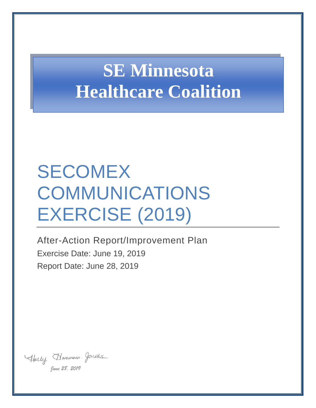# **SE Minnesota Healthcare Coalition**

# SECOMEX COMMUNICATIONS EXERCISE (2019)

After-Action Report/Improvement Plan Exercise Date: June 19, 2019 Report Date: June 28, 2019

Abelly Hommonn. Jacobs *June 28, 2019*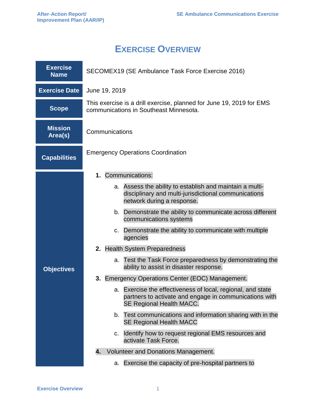## **EXERCISE OVERVIEW**

| <b>Exercise</b><br><b>Name</b> | SECOMEX19 (SE Ambulance Task Force Exercise 2016)                                                                                                 |  |  |  |
|--------------------------------|---------------------------------------------------------------------------------------------------------------------------------------------------|--|--|--|
| <b>Exercise Date</b>           | June 19, 2019                                                                                                                                     |  |  |  |
| <b>Scope</b>                   | This exercise is a drill exercise, planned for June 19, 2019 for EMS<br>communications in Southeast Minnesota.                                    |  |  |  |
| <b>Mission</b><br>Area(s)      | Communications                                                                                                                                    |  |  |  |
| <b>Capabilities</b>            | <b>Emergency Operations Coordination</b>                                                                                                          |  |  |  |
|                                | Communications:<br>1.                                                                                                                             |  |  |  |
|                                | Assess the ability to establish and maintain a multi-<br>а.<br>disciplinary and multi-jurisdictional communications<br>network during a response. |  |  |  |
|                                | b. Demonstrate the ability to communicate across different<br>communications systems                                                              |  |  |  |
|                                | c. Demonstrate the ability to communicate with multiple<br>agencies                                                                               |  |  |  |
|                                | <b>Health System Preparedness</b><br>2.                                                                                                           |  |  |  |
| <b>Objectives</b>              | a. Test the Task Force preparedness by demonstrating the<br>ability to assist in disaster response.                                               |  |  |  |
|                                | 3. Emergency Operations Center (EOC) Management.                                                                                                  |  |  |  |
|                                | a. Exercise the effectiveness of local, regional, and state<br>partners to activate and engage in communications with<br>SE Regional Health MACC. |  |  |  |
|                                | b. Test communications and information sharing with in the<br><b>SE Regional Health MACC</b>                                                      |  |  |  |
|                                | Identify how to request regional EMS resources and<br>C.<br>activate Task Force.                                                                  |  |  |  |
|                                | Volunteer and Donations Management.<br>4.                                                                                                         |  |  |  |
|                                | Exercise the capacity of pre-hospital partners to<br>a.                                                                                           |  |  |  |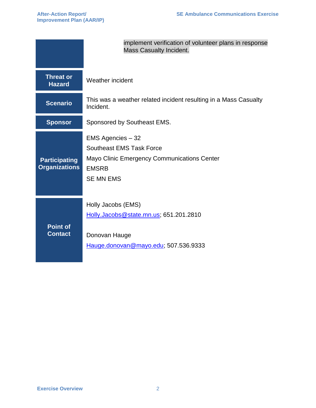|                                              | implement verification of volunteer plans in response<br><b>Mass Casualty Incident.</b>                                                        |
|----------------------------------------------|------------------------------------------------------------------------------------------------------------------------------------------------|
| <b>Threat or</b><br><b>Hazard</b>            | Weather incident                                                                                                                               |
| <b>Scenario</b>                              | This was a weather related incident resulting in a Mass Casualty<br>Incident.                                                                  |
| <b>Sponsor</b>                               | Sponsored by Southeast EMS.                                                                                                                    |
| <b>Participating</b><br><b>Organizations</b> | EMS Agencies - 32<br><b>Southeast EMS Task Force</b><br><b>Mayo Clinic Emergency Communications Center</b><br><b>EMSRB</b><br><b>SE MN EMS</b> |
| <b>Point of</b><br><b>Contact</b>            | Holly Jacobs (EMS)<br>Holly.Jacobs@state.mn.us; 651.201.2810<br>Donovan Hauge<br>Hauge.donovan@mayo.edu; 507.536.9333                          |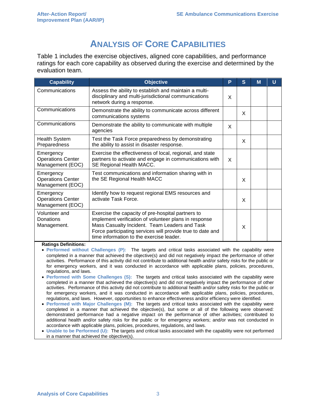## **ANALYSIS OF CORE CAPABILITIES**

Table 1 includes the exercise objectives, aligned core capabilities, and performance ratings for each core capability as observed during the exercise and determined by the evaluation team.

| <b>Capability</b>                                         | <b>Objective</b>                                                                                                                                                                                                                                                      | P | S | M | U |
|-----------------------------------------------------------|-----------------------------------------------------------------------------------------------------------------------------------------------------------------------------------------------------------------------------------------------------------------------|---|---|---|---|
| Communications                                            | Assess the ability to establish and maintain a multi-<br>disciplinary and multi-jurisdictional communications<br>network during a response.                                                                                                                           | X |   |   |   |
| Communications                                            | Demonstrate the ability to communicate across different<br>communications systems                                                                                                                                                                                     |   | X |   |   |
| Communications                                            | Demonstrate the ability to communicate with multiple<br>agencies                                                                                                                                                                                                      | X |   |   |   |
| <b>Health System</b><br>Preparedness                      | Test the Task Force preparedness by demonstrating<br>the ability to assist in disaster response.                                                                                                                                                                      |   | X |   |   |
| Emergency<br><b>Operations Center</b><br>Management (EOC) | Exercise the effectiveness of local, regional, and state<br>partners to activate and engage in communications with<br>SE Regional Health MACC.                                                                                                                        | X |   |   |   |
| Emergency<br><b>Operations Center</b><br>Management (EOC) | Test communications and information sharing with in<br>the SE Regional Health MACC                                                                                                                                                                                    |   | X |   |   |
| Emergency<br><b>Operations Center</b><br>Management (EOC) | Identify how to request regional EMS resources and<br>activate Task Force.                                                                                                                                                                                            |   | X |   |   |
| Volunteer and<br>Donations<br>Management.                 | Exercise the capacity of pre-hospital partners to<br>implement verification of volunteer plans in response<br>Mass Casualty Incident. Team Leaders and Task<br>Force participating services will provide true to date and<br>time information to the exercise leader. |   | X |   |   |

#### **Ratings Definitions:**

- **Performed without Challenges (P):** The targets and critical tasks associated with the capability were completed in a manner that achieved the objective(s) and did not negatively impact the performance of other activities. Performance of this activity did not contribute to additional health and/or safety risks for the public or for emergency workers, and it was conducted in accordance with applicable plans, policies, procedures, regulations, and laws.
- **Performed with Some Challenges (S):** The targets and critical tasks associated with the capability were completed in a manner that achieved the objective(s) and did not negatively impact the performance of other activities. Performance of this activity did not contribute to additional health and/or safety risks for the public or for emergency workers, and it was conducted in accordance with applicable plans, policies, procedures, regulations, and laws. However, opportunities to enhance effectiveness and/or efficiency were identified.
- **Performed with Major Challenges (M):** The targets and critical tasks associated with the capability were completed in a manner that achieved the objective(s), but some or all of the following were observed: demonstrated performance had a negative impact on the performance of other activities; contributed to additional health and/or safety risks for the public or for emergency workers; and/or was not conducted in accordance with applicable plans, policies, procedures, regulations, and laws.
- **Unable to be Performed (U):** The targets and critical tasks associated with the capability were not performed in a manner that achieved the objective(s).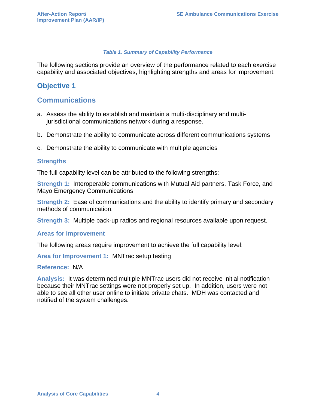#### *Table 1. Summary of Capability Performance*

The following sections provide an overview of the performance related to each exercise capability and associated objectives, highlighting strengths and areas for improvement.

## **Objective 1**

## **Communications**

- a. Assess the ability to establish and maintain a multi-disciplinary and multijurisdictional communications network during a response.
- b. Demonstrate the ability to communicate across different communications systems
- c. Demonstrate the ability to communicate with multiple agencies

#### **Strengths**

The full capability level can be attributed to the following strengths:

**Strength 1:** Interoperable communications with Mutual Aid partners, Task Force, and Mayo Emergency Communications

**Strength 2:** Ease of communications and the ability to identify primary and secondary methods of communication.

**Strength 3:** Multiple back-up radios and regional resources available upon request.

#### **Areas for Improvement**

The following areas require improvement to achieve the full capability level:

**Area for Improvement 1:** MNTrac setup testing

#### **Reference:** N/A

**Analysis:** It was determined multiple MNTrac users did not receive initial notification because their MNTrac settings were not properly set up. In addition, users were not able to see all other user online to initiate private chats. MDH was contacted and notified of the system challenges.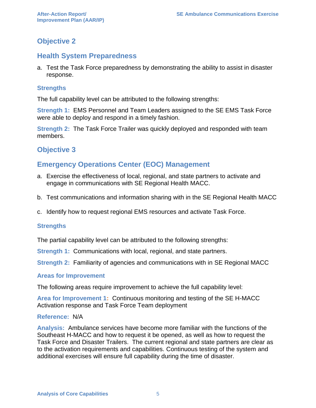## **Objective 2**

## **Health System Preparedness**

a. Test the Task Force preparedness by demonstrating the ability to assist in disaster response.

## **Strengths**

The full capability level can be attributed to the following strengths:

**Strength 1:** EMS Personnel and Team Leaders assigned to the SE EMS Task Force were able to deploy and respond in a timely fashion.

**Strength 2:** The Task Force Trailer was quickly deployed and responded with team members.

## **Objective 3**

## **Emergency Operations Center (EOC) Management**

- a. Exercise the effectiveness of local, regional, and state partners to activate and engage in communications with SE Regional Health MACC.
- b. Test communications and information sharing with in the SE Regional Health MACC
- c. Identify how to request regional EMS resources and activate Task Force.

## **Strengths**

The partial capability level can be attributed to the following strengths:

**Strength 1:** Communications with local, regional, and state partners.

**Strength 2:** Familiarity of agencies and communications with in SE Regional MACC

#### **Areas for Improvement**

The following areas require improvement to achieve the full capability level:

**Area for Improvement 1:** Continuous monitoring and testing of the SE H-MACC Activation response and Task Force Team deployment

## **Reference:** N/A

**Analysis:** Ambulance services have become more familiar with the functions of the Southeast H-MACC and how to request it be opened, as well as how to request the Task Force and Disaster Trailers. The current regional and state partners are clear as to the activation requirements and capabilities. Continuous testing of the system and additional exercises will ensure full capability during the time of disaster.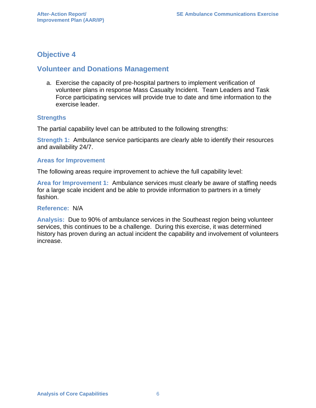## **Objective 4**

## **Volunteer and Donations Management**

a. Exercise the capacity of pre-hospital partners to implement verification of volunteer plans in response Mass Casualty Incident. Team Leaders and Task Force participating services will provide true to date and time information to the exercise leader.

### **Strengths**

The partial capability level can be attributed to the following strengths:

**Strength 1:** Ambulance service participants are clearly able to identify their resources and availability 24/7.

#### **Areas for Improvement**

The following areas require improvement to achieve the full capability level:

**Area for Improvement 1:** Ambulance services must clearly be aware of staffing needs for a large scale incident and be able to provide information to partners in a timely fashion.

#### **Reference:** N/A

**Analysis:** Due to 90% of ambulance services in the Southeast region being volunteer services, this continues to be a challenge. During this exercise, it was determined history has proven during an actual incident the capability and involvement of volunteers increase.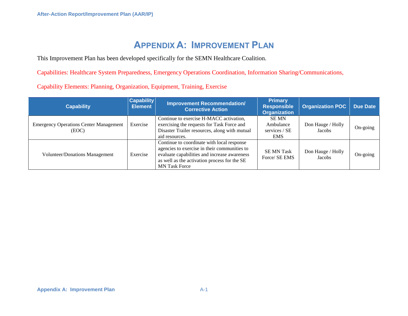# **APPENDIX A: IMPROVEMENT PLAN**

This Improvement Plan has been developed specifically for the SEMN Healthcare Coalition.

Capabilities: Healthcare System Preparedness, Emergency Operations Coordination, Information Sharing/Communications,

Capability Elements: Planning, Organization, Equipment, Training, Exercise

| <b>Capability</b>                                      | <b>Capability</b><br><b>Element</b> | <b>Improvement Recommendation/</b><br><b>Corrective Action</b>                                                                                                                                                     | <b>Primary</b><br>Responsible<br><b>Organization</b>    | <b>Organization POC</b>     | <b>Due Date</b> |
|--------------------------------------------------------|-------------------------------------|--------------------------------------------------------------------------------------------------------------------------------------------------------------------------------------------------------------------|---------------------------------------------------------|-----------------------------|-----------------|
| <b>Emergency Operations Center Management</b><br>(EOC) | Exercise                            | Continue to exercise H-MACC activation,<br>exercising the requests for Task Force and<br>Disaster Trailer resources, along with mutual<br>aid resources.                                                           | <b>SEMN</b><br>Ambulance<br>services / SE<br><b>EMS</b> | Don Hauge / Holly<br>Jacobs | On-going        |
| <b>Volunteer/Donations Management</b>                  | Exercise                            | Continue to coordinate with local response<br>agencies to exercise in their communities to<br>evaluate capabilities and increase awareness<br>as well as the activation process for the SE<br><b>MN Task Force</b> | <b>SE MN Task</b><br>Force/ SE EMS                      | Don Hauge / Holly<br>Jacobs | On-going        |